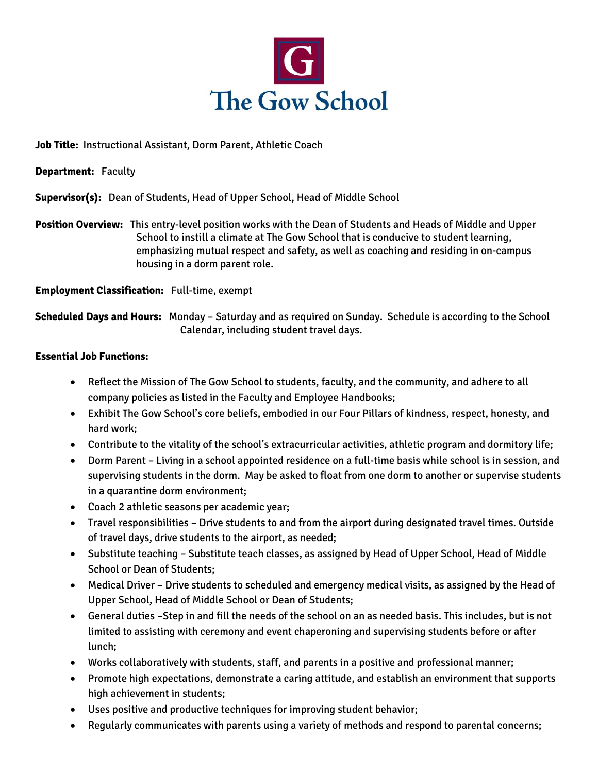

**Job Title:** Instructional Assistant, Dorm Parent, Athletic Coach

**Department:** Faculty

**Supervisor(s):** Dean of Students, Head of Upper School, Head of Middle School

**Position Overview:** This entry-level position works with the Dean of Students and Heads of Middle and Upper School to instill a climate at The Gow School that is conducive to student learning, emphasizing mutual respect and safety, as well as coaching and residing in on-campus housing in a dorm parent role.

**Employment Classification:** Full-time, exempt

**Scheduled Days and Hours:** Monday – Saturday and as required on Sunday. Schedule is according to the School Calendar, including student travel days.

## **Essential Job Functions:**

- Reflect the Mission of The Gow School to students, faculty, and the community, and adhere to all company policies as listed in the Faculty and Employee Handbooks;
- Exhibit The Gow School's core beliefs, embodied in our Four Pillars of kindness, respect, honesty, and hard work;
- Contribute to the vitality of the school's extracurricular activities, athletic program and dormitory life;
- Dorm Parent Living in a school appointed residence on a full-time basis while school is in session, and supervising students in the dorm. May be asked to float from one dorm to another or supervise students in a quarantine dorm environment;
- Coach 2 athletic seasons per academic year;
- Travel responsibilities Drive students to and from the airport during designated travel times. Outside of travel days, drive students to the airport, as needed;
- Substitute teaching Substitute teach classes, as assigned by Head of Upper School, Head of Middle School or Dean of Students;
- Medical Driver Drive students to scheduled and emergency medical visits, as assigned by the Head of Upper School, Head of Middle School or Dean of Students;
- General duties –Step in and fill the needs of the school on an as needed basis. This includes, but is not limited to assisting with ceremony and event chaperoning and supervising students before or after lunch;
- Works collaboratively with students, staff, and parents in a positive and professional manner;
- Promote high expectations, demonstrate a caring attitude, and establish an environment that supports high achievement in students;
- Uses positive and productive techniques for improving student behavior;
- Regularly communicates with parents using a variety of methods and respond to parental concerns;